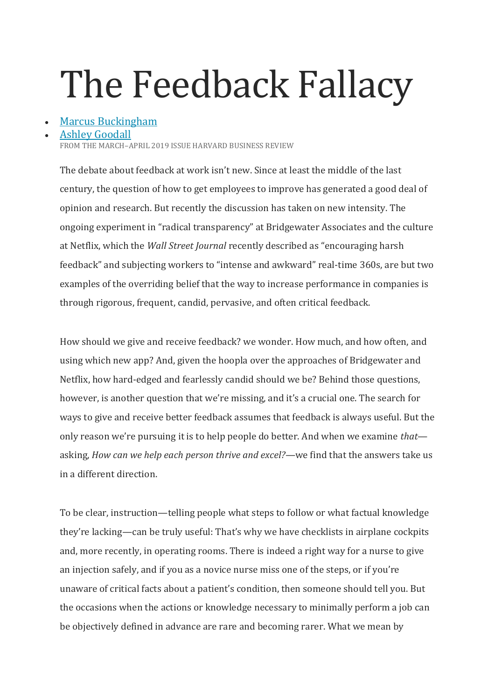# The Feedback Fallacy

#### **[Marcus Buckingham](https://hbr.org/search?term=marcus%20buckingham)**

#### • [Ashley Goodall](https://hbr.org/search?term=ashley%20goodall)

FROM THE MARCH–APRIL 2019 ISSUE HARVARD BUSINESS REVIEW

The debate about feedback at work isn't new. Since at least the middle of the last century, the question of how to get employees to improve has generated a good deal of opinion and research. But recently the discussion has taken on new intensity. The ongoing experiment in "radical transparency" at Bridgewater Associates and the culture at Netflix, which the *Wall Street Journal* recently described as "encouraging harsh feedback" and subjecting workers to "intense and awkward" real-time 360s, are but two examples of the overriding belief that the way to increase performance in companies is through rigorous, frequent, candid, pervasive, and often critical feedback.

How should we give and receive feedback? we wonder. How much, and how often, and using which new app? And, given the hoopla over the approaches of Bridgewater and Netflix, how hard-edged and fearlessly candid should we be? Behind those questions, however, is another question that we're missing, and it's a crucial one. The search for ways to give and receive better feedback assumes that feedback is always useful. But the only reason we're pursuing it is to help people do better. And when we examine *that* asking, *How can we help each person thrive and excel?*—we find that the answers take us in a different direction.

To be clear, instruction—telling people what steps to follow or what factual knowledge they're lacking—can be truly useful: That's why we have checklists in airplane cockpits and, more recently, in operating rooms. There is indeed a right way for a nurse to give an injection safely, and if you as a novice nurse miss one of the steps, or if you're unaware of critical facts about a patient's condition, then someone should tell you. But the occasions when the actions or knowledge necessary to minimally perform a job can be objectively defined in advance are rare and becoming rarer. What we mean by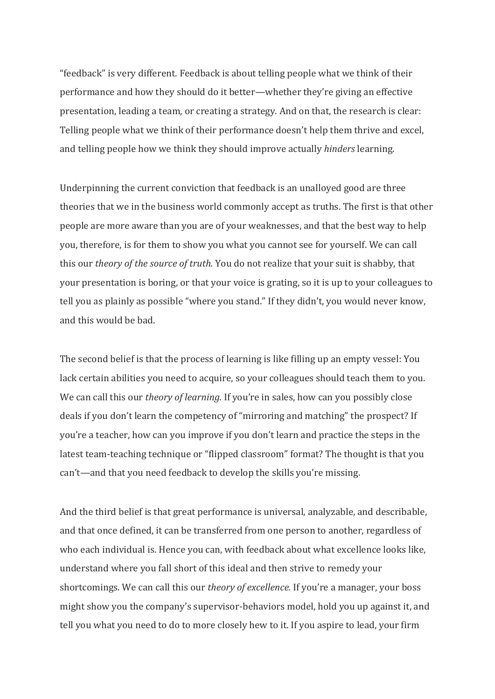"feedback" is very different. Feedback is about telling people what we think of their performance and how they should do it better—whether they're giving an effective presentation, leading a team, or creating a strategy. And on that, the research is clear: Telling people what we think of their performance doesn't help them thrive and excel, and telling people how we think they should improve actually *hinders* learning.

Underpinning the current conviction that feedback is an unalloyed good are three theories that we in the business world commonly accept as truths. The first is that other people are more aware than you are of your weaknesses, and that the best way to help you, therefore, is for them to show you what you cannot see for yourself. We can call this our *theory of the source of truth.* You do not realize that your suit is shabby, that your presentation is boring, or that your voice is grating, so it is up to your colleagues to tell you as plainly as possible "where you stand." If they didn't, you would never know, and this would be bad.

The second belief is that the process of learning is like filling up an empty vessel: You lack certain abilities you need to acquire, so your colleagues should teach them to you. We can call this our *theory of learning.* If you're in sales, how can you possibly close deals if you don't learn the competency of "mirroring and matching" the prospect? If you're a teacher, how can you improve if you don't learn and practice the steps in the latest team-teaching technique or "flipped classroom" format? The thought is that you can't—and that you need feedback to develop the skills you're missing.

And the third belief is that great performance is universal, analyzable, and describable, and that once defined, it can be transferred from one person to another, regardless of who each individual is. Hence you can, with feedback about what excellence looks like, understand where you fall short of this ideal and then strive to remedy your shortcomings. We can call this our *theory of excellence.* If you're a manager, your boss might show you the company's supervisor-behaviors model, hold you up against it, and tell you what you need to do to more closely hew to it. If you aspire to lead, your firm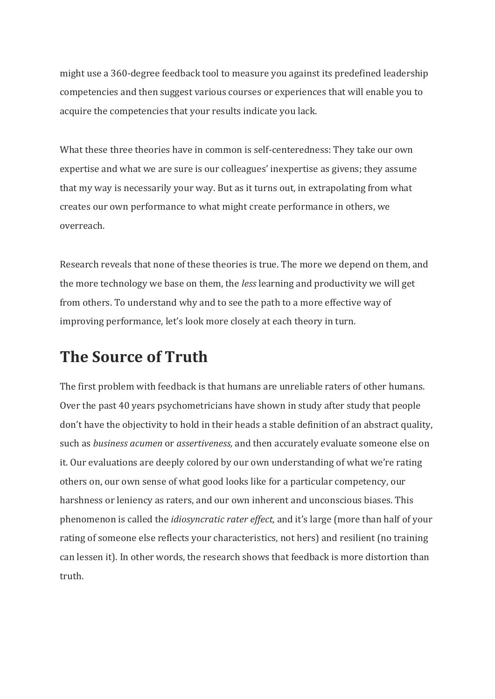might use a 360-degree feedback tool to measure you against its predefined leadership competencies and then suggest various courses or experiences that will enable you to acquire the competencies that your results indicate you lack.

What these three theories have in common is self-centeredness: They take our own expertise and what we are sure is our colleagues' inexpertise as givens; they assume that my way is necessarily your way. But as it turns out, in extrapolating from what creates our own performance to what might create performance in others, we overreach.

Research reveals that none of these theories is true. The more we depend on them, and the more technology we base on them, the *less* learning and productivity we will get from others. To understand why and to see the path to a more effective way of improving performance, let's look more closely at each theory in turn.

# **The Source of Truth**

The first problem with feedback is that humans are unreliable raters of other humans. Over the past 40 years psychometricians have shown in study after study that people don't have the objectivity to hold in their heads a stable definition of an abstract quality, such as *business acumen* or *assertiveness,* and then accurately evaluate someone else on it. Our evaluations are deeply colored by our own understanding of what we're rating others on, our own sense of what good looks like for a particular competency, our harshness or leniency as raters, and our own inherent and unconscious biases. This phenomenon is called the *idiosyncratic rater effect,* and it's large (more than half of your rating of someone else reflects your characteristics, not hers) and resilient (no training can lessen it). In other words, the research shows that feedback is more distortion than truth.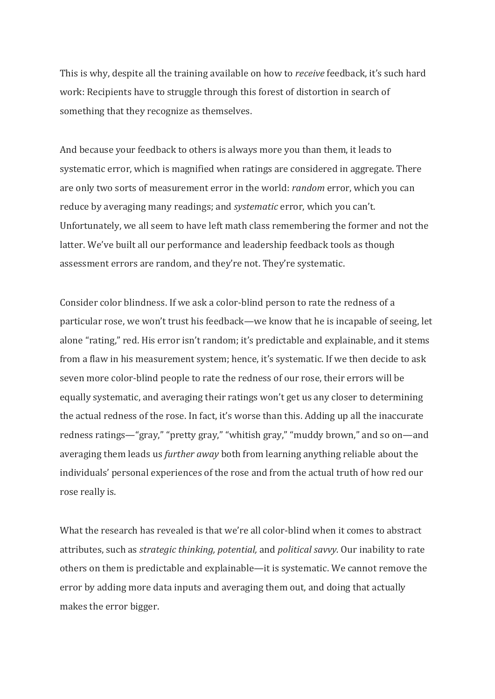This is why, despite all the training available on how to *receive* feedback, it's such hard work: Recipients have to struggle through this forest of distortion in search of something that they recognize as themselves.

And because your feedback to others is always more you than them, it leads to systematic error, which is magnified when ratings are considered in aggregate. There are only two sorts of measurement error in the world: *random* error, which you can reduce by averaging many readings; and *systematic* error, which you can't. Unfortunately, we all seem to have left math class remembering the former and not the latter. We've built all our performance and leadership feedback tools as though assessment errors are random, and they're not. They're systematic.

Consider color blindness. If we ask a color-blind person to rate the redness of a particular rose, we won't trust his feedback—we know that he is incapable of seeing, let alone "rating," red. His error isn't random; it's predictable and explainable, and it stems from a flaw in his measurement system; hence, it's systematic. If we then decide to ask seven more color-blind people to rate the redness of our rose, their errors will be equally systematic, and averaging their ratings won't get us any closer to determining the actual redness of the rose. In fact, it's worse than this. Adding up all the inaccurate redness ratings—"gray," "pretty gray," "whitish gray," "muddy brown," and so on—and averaging them leads us *further away* both from learning anything reliable about the individuals' personal experiences of the rose and from the actual truth of how red our rose really is.

What the research has revealed is that we're all color-blind when it comes to abstract attributes, such as *strategic thinking, potential,* and *political savvy.* Our inability to rate others on them is predictable and explainable—it is systematic. We cannot remove the error by adding more data inputs and averaging them out, and doing that actually makes the error bigger.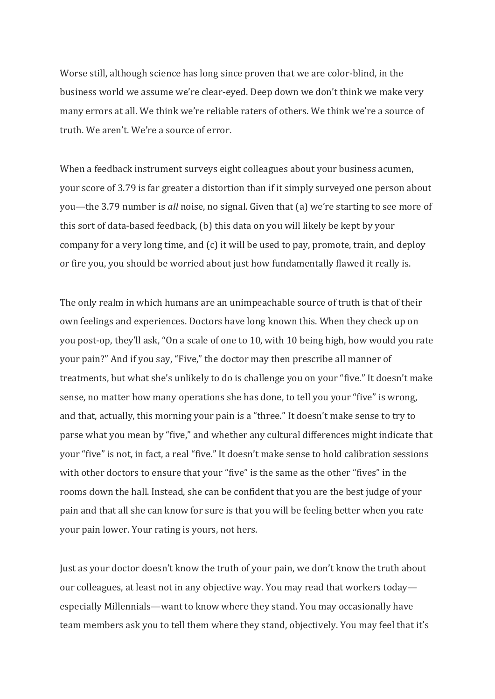Worse still, although science has long since proven that we are color-blind, in the business world we assume we're clear-eyed. Deep down we don't think we make very many errors at all. We think we're reliable raters of others. We think we're a source of truth. We aren't. We're a source of error.

When a feedback instrument surveys eight colleagues about your business acumen, your score of 3.79 is far greater a distortion than if it simply surveyed one person about you—the 3.79 number is *all* noise, no signal. Given that (a) we're starting to see more of this sort of data-based feedback, (b) this data on you will likely be kept by your company for a very long time, and (c) it will be used to pay, promote, train, and deploy or fire you, you should be worried about just how fundamentally flawed it really is.

The only realm in which humans are an unimpeachable source of truth is that of their own feelings and experiences. Doctors have long known this. When they check up on you post-op, they'll ask, "On a scale of one to 10, with 10 being high, how would you rate your pain?" And if you say, "Five," the doctor may then prescribe all manner of treatments, but what she's unlikely to do is challenge you on your "five." It doesn't make sense, no matter how many operations she has done, to tell you your "five" is wrong, and that, actually, this morning your pain is a "three." It doesn't make sense to try to parse what you mean by "five," and whether any cultural differences might indicate that your "five" is not, in fact, a real "five." It doesn't make sense to hold calibration sessions with other doctors to ensure that your "five" is the same as the other "fives" in the rooms down the hall. Instead, she can be confident that you are the best judge of your pain and that all she can know for sure is that you will be feeling better when you rate your pain lower. Your rating is yours, not hers.

Just as your doctor doesn't know the truth of your pain, we don't know the truth about our colleagues, at least not in any objective way. You may read that workers today especially Millennials—want to know where they stand. You may occasionally have team members ask you to tell them where they stand, objectively. You may feel that it's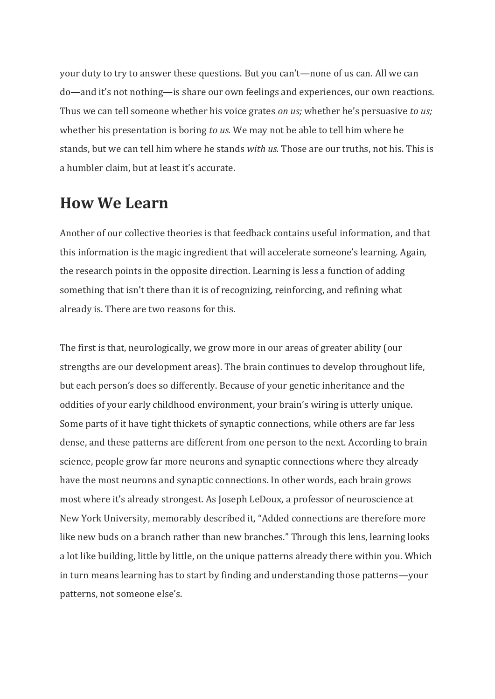your duty to try to answer these questions. But you can't—none of us can. All we can do—and it's not nothing—is share our own feelings and experiences, our own reactions. Thus we can tell someone whether his voice grates *on us;* whether he's persuasive *to us;* whether his presentation is boring *to us.* We may not be able to tell him where he stands, but we can tell him where he stands *with us.* Those are our truths, not his. This is a humbler claim, but at least it's accurate.

### **How We Learn**

Another of our collective theories is that feedback contains useful information, and that this information is the magic ingredient that will accelerate someone's learning. Again, the research points in the opposite direction. Learning is less a function of adding something that isn't there than it is of recognizing, reinforcing, and refining what already is. There are two reasons for this.

The first is that, neurologically, we grow more in our areas of greater ability (our strengths are our development areas). The brain continues to develop throughout life, but each person's does so differently. Because of your genetic inheritance and the oddities of your early childhood environment, your brain's wiring is utterly unique. Some parts of it have tight thickets of synaptic connections, while others are far less dense, and these patterns are different from one person to the next. According to brain science, people grow far more neurons and synaptic connections where they already have the most neurons and synaptic connections. In other words, each brain grows most where it's already strongest. As Joseph LeDoux, a professor of neuroscience at New York University, memorably described it, "Added connections are therefore more like new buds on a branch rather than new branches." Through this lens, learning looks a lot like building, little by little, on the unique patterns already there within you. Which in turn means learning has to start by finding and understanding those patterns—your patterns, not someone else's.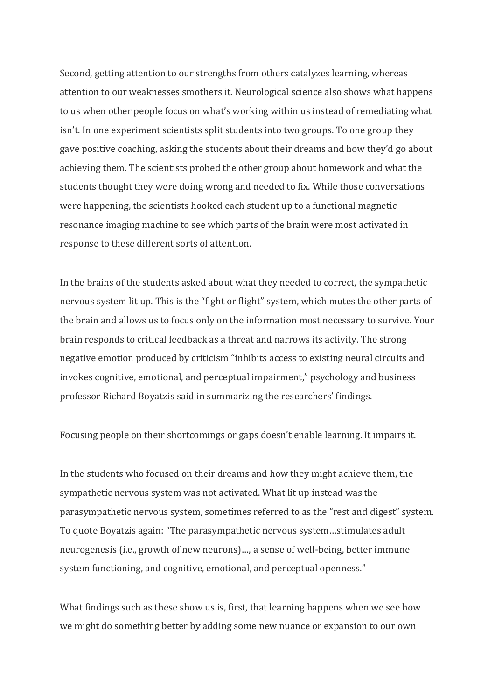Second, getting attention to our strengths from others catalyzes learning, whereas attention to our weaknesses smothers it. Neurological science also shows what happens to us when other people focus on what's working within us instead of remediating what isn't. In one experiment scientists split students into two groups. To one group they gave positive coaching, asking the students about their dreams and how they'd go about achieving them. The scientists probed the other group about homework and what the students thought they were doing wrong and needed to fix. While those conversations were happening, the scientists hooked each student up to a functional magnetic resonance imaging machine to see which parts of the brain were most activated in response to these different sorts of attention.

In the brains of the students asked about what they needed to correct, the sympathetic nervous system lit up. This is the "fight or flight" system, which mutes the other parts of the brain and allows us to focus only on the information most necessary to survive. Your brain responds to critical feedback as a threat and narrows its activity. The strong negative emotion produced by criticism "inhibits access to existing neural circuits and invokes cognitive, emotional, and perceptual impairment," psychology and business professor Richard Boyatzis said in summarizing the researchers' findings.

Focusing people on their shortcomings or gaps doesn't enable learning. It impairs it.

In the students who focused on their dreams and how they might achieve them, the sympathetic nervous system was not activated. What lit up instead was the parasympathetic nervous system, sometimes referred to as the "rest and digest" system. To quote Boyatzis again: "The parasympathetic nervous system…stimulates adult neurogenesis (i.e., growth of new neurons)…, a sense of well-being, better immune system functioning, and cognitive, emotional, and perceptual openness."

What findings such as these show us is, first, that learning happens when we see how we might do something better by adding some new nuance or expansion to our own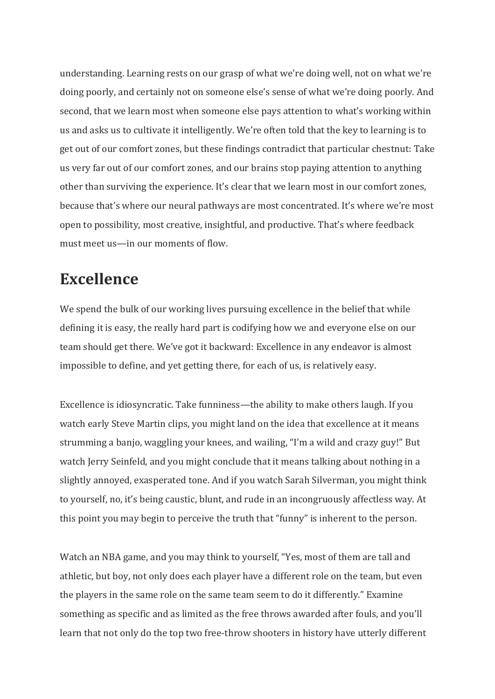understanding. Learning rests on our grasp of what we're doing well, not on what we're doing poorly, and certainly not on someone else's sense of what we're doing poorly. And second, that we learn most when someone else pays attention to what's working within us and asks us to cultivate it intelligently. We're often told that the key to learning is to get out of our comfort zones, but these findings contradict that particular chestnut: Take us very far out of our comfort zones, and our brains stop paying attention to anything other than surviving the experience. It's clear that we learn most in our comfort zones, because that's where our neural pathways are most concentrated. It's where we're most open to possibility, most creative, insightful, and productive. That's where feedback must meet us—in our moments of flow.

## **Excellence**

We spend the bulk of our working lives pursuing excellence in the belief that while defining it is easy, the really hard part is codifying how we and everyone else on our team should get there. We've got it backward: Excellence in any endeavor is almost impossible to define, and yet getting there, for each of us, is relatively easy.

Excellence is idiosyncratic. Take funniness—the ability to make others laugh. If you watch early Steve Martin clips, you might land on the idea that excellence at it means strumming a banjo, waggling your knees, and wailing, "I'm a wild and crazy guy!" But watch Jerry Seinfeld, and you might conclude that it means talking about nothing in a slightly annoyed, exasperated tone. And if you watch Sarah Silverman, you might think to yourself, no, it's being caustic, blunt, and rude in an incongruously affectless way. At this point you may begin to perceive the truth that "funny" is inherent to the person.

Watch an NBA game, and you may think to yourself, "Yes, most of them are tall and athletic, but boy, not only does each player have a different role on the team, but even the players in the same role on the same team seem to do it differently." Examine something as specific and as limited as the free throws awarded after fouls, and you'll learn that not only do the top two free-throw shooters in history have utterly different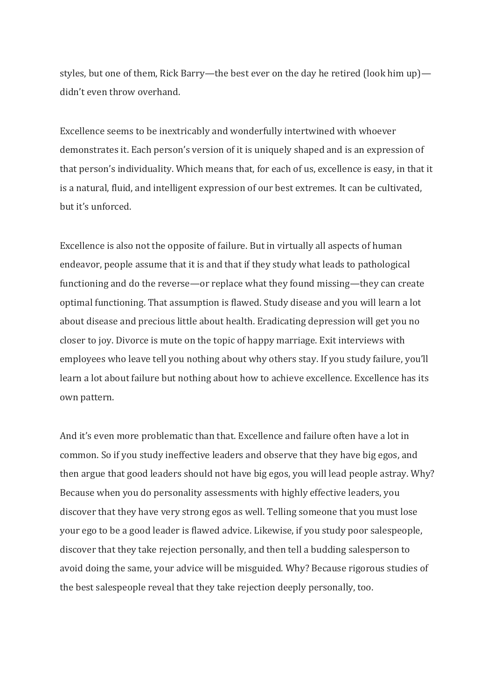styles, but one of them, Rick Barry—the best ever on the day he retired (look him up) didn't even throw overhand.

Excellence seems to be inextricably and wonderfully intertwined with whoever demonstrates it. Each person's version of it is uniquely shaped and is an expression of that person's individuality. Which means that, for each of us, excellence is easy, in that it is a natural, fluid, and intelligent expression of our best extremes. It can be cultivated, but it's unforced.

Excellence is also not the opposite of failure. But in virtually all aspects of human endeavor, people assume that it is and that if they study what leads to pathological functioning and do the reverse—or replace what they found missing—they can create optimal functioning. That assumption is flawed. Study disease and you will learn a lot about disease and precious little about health. Eradicating depression will get you no closer to joy. Divorce is mute on the topic of happy marriage. Exit interviews with employees who leave tell you nothing about why others stay. If you study failure, you'll learn a lot about failure but nothing about how to achieve excellence. Excellence has its own pattern.

And it's even more problematic than that. Excellence and failure often have a lot in common. So if you study ineffective leaders and observe that they have big egos, and then argue that good leaders should not have big egos, you will lead people astray. Why? Because when you do personality assessments with highly effective leaders, you discover that they have very strong egos as well. Telling someone that you must lose your ego to be a good leader is flawed advice. Likewise, if you study poor salespeople, discover that they take rejection personally, and then tell a budding salesperson to avoid doing the same, your advice will be misguided. Why? Because rigorous studies of the best salespeople reveal that they take rejection deeply personally, too.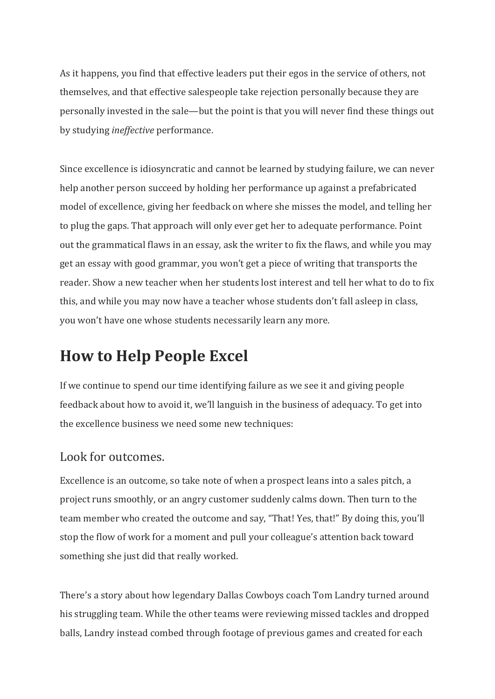As it happens, you find that effective leaders put their egos in the service of others, not themselves, and that effective salespeople take rejection personally because they are personally invested in the sale—but the point is that you will never find these things out by studying *ineffective* performance.

Since excellence is idiosyncratic and cannot be learned by studying failure, we can never help another person succeed by holding her performance up against a prefabricated model of excellence, giving her feedback on where she misses the model, and telling her to plug the gaps. That approach will only ever get her to adequate performance. Point out the grammatical flaws in an essay, ask the writer to fix the flaws, and while you may get an essay with good grammar, you won't get a piece of writing that transports the reader. Show a new teacher when her students lost interest and tell her what to do to fix this, and while you may now have a teacher whose students don't fall asleep in class, you won't have one whose students necessarily learn any more.

# **How to Help People Excel**

If we continue to spend our time identifying failure as we see it and giving people feedback about how to avoid it, we'll languish in the business of adequacy. To get into the excellence business we need some new techniques:

#### Look for outcomes.

Excellence is an outcome, so take note of when a prospect leans into a sales pitch, a project runs smoothly, or an angry customer suddenly calms down. Then turn to the team member who created the outcome and say, "That! Yes, that!" By doing this, you'll stop the flow of work for a moment and pull your colleague's attention back toward something she just did that really worked.

There's a story about how legendary Dallas Cowboys coach Tom Landry turned around his struggling team. While the other teams were reviewing missed tackles and dropped balls, Landry instead combed through footage of previous games and created for each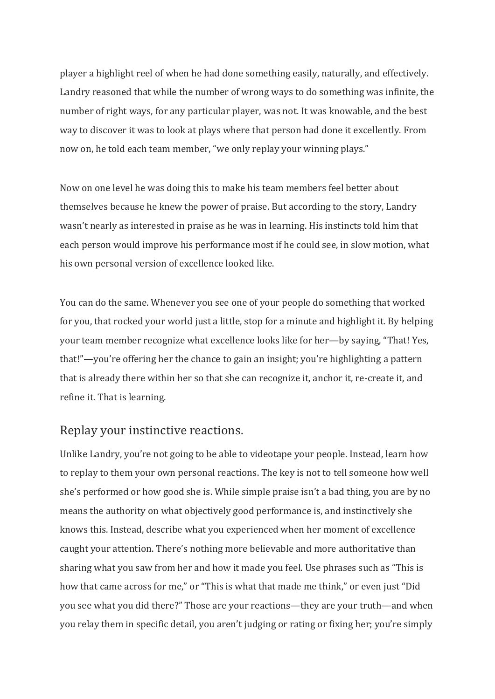player a highlight reel of when he had done something easily, naturally, and effectively. Landry reasoned that while the number of wrong ways to do something was infinite, the number of right ways, for any particular player, was not. It was knowable, and the best way to discover it was to look at plays where that person had done it excellently. From now on, he told each team member, "we only replay your winning plays."

Now on one level he was doing this to make his team members feel better about themselves because he knew the power of praise. But according to the story, Landry wasn't nearly as interested in praise as he was in learning. His instincts told him that each person would improve his performance most if he could see, in slow motion, what his own personal version of excellence looked like.

You can do the same. Whenever you see one of your people do something that worked for you, that rocked your world just a little, stop for a minute and highlight it. By helping your team member recognize what excellence looks like for her—by saying, "That! Yes, that!"—you're offering her the chance to gain an insight; you're highlighting a pattern that is already there within her so that she can recognize it, anchor it, re-create it, and refine it. That is learning.

#### Replay your instinctive reactions.

Unlike Landry, you're not going to be able to videotape your people. Instead, learn how to replay to them your own personal reactions. The key is not to tell someone how well she's performed or how good she is. While simple praise isn't a bad thing, you are by no means the authority on what objectively good performance is, and instinctively she knows this. Instead, describe what you experienced when her moment of excellence caught your attention. There's nothing more believable and more authoritative than sharing what you saw from her and how it made you feel. Use phrases such as "This is how that came across for me," or "This is what that made me think," or even just "Did you see what you did there?" Those are your reactions—they are your truth—and when you relay them in specific detail, you aren't judging or rating or fixing her; you're simply